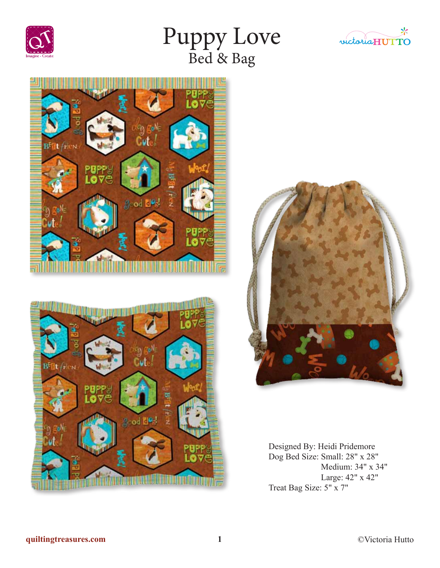

# Puppy Love Bed & Bag









Designed By: Heidi Pridemore Dog Bed Size: Small: 28" x 28" Medium: 34" x 34" Large: 42" x 42" Treat Bag Size: 5" x 7"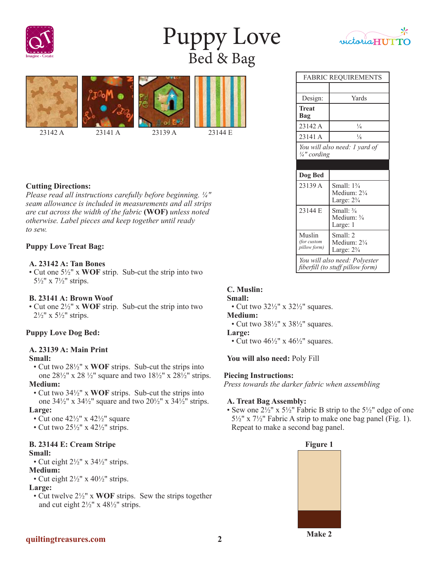

# Puppy Love Bed & Bag



# **Cutting Directions:**

*Please read all instructions carefully before beginning. ¼" seam allowance is included in measurements and all strips are cut across the width of the fabric* **(WOF)** *unless noted otherwise. Label pieces and keep together until ready to sew.*

### **Puppy Love Treat Bag:**

#### **A. 23142 A: Tan Bones**

• Cut one 5½" x **WOF** strip. Sub-cut the strip into two 5½" x 7½" strips.

#### **B. 23141 A: Brown Woof**

• Cut one 2½" x **WOF** strip. Sub-cut the strip into two  $2\frac{1}{2}$ " x  $5\frac{1}{2}$ " strips.

### **Puppy Love Dog Bed:**

# **A. 23139 A: Main Print**

#### **Small:**

- Cut two 28½" x **WOF** strips. Sub-cut the strips into one  $28\frac{1}{2}$ " x  $28\frac{1}{2}$ " square and two  $18\frac{1}{2}$ " x  $28\frac{1}{2}$ " strips. **Medium:**
- Cut two 34½" x **WOF** strips. Sub-cut the strips into one  $34\frac{1}{2}$ " x  $34\frac{1}{2}$ " square and two  $20\frac{1}{2}$ " x  $34\frac{1}{2}$ " strips.

#### **Large:**

- Cut one  $42\frac{1}{2}$ " x  $42\frac{1}{2}$ " square
- Cut two  $25\frac{1}{2}$ " x  $42\frac{1}{2}$ " strips.

# **B. 23144 E: Cream Stripe**

- **Small:**
- Cut eight  $2\frac{1}{2}$ " x  $34\frac{1}{2}$ " strips.

### **Medium:**

• Cut eight  $2\frac{1}{2}$ " x  $40\frac{1}{2}$ " strips.

#### **Large:**

• Cut twelve 2½" x **WOF** strips. Sew the strips together and cut eight 2½" x 48½" strips.

# victoria ${\rm H}{\rm U}{\rm T}$ **TO**

| <b>FABRIC REQUIREMENTS</b>                  |                                                                          |
|---------------------------------------------|--------------------------------------------------------------------------|
|                                             |                                                                          |
| Design:                                     | Yards                                                                    |
| Treat<br>Bag                                |                                                                          |
| 23142 A                                     | $\frac{1}{4}$                                                            |
| 23141 A                                     | $\frac{1}{8}$                                                            |
| You will also need: 1 yard of<br>¼" cording |                                                                          |
|                                             |                                                                          |
| Dog Bed                                     |                                                                          |
| 23139 A                                     | Small: $1\frac{3}{4}$<br>Medium: $2\frac{1}{4}$<br>Large: $2\frac{3}{4}$ |
| 23144 E                                     | Small: 3/4                                                               |
|                                             | Medium: 3/4<br>Large: 1                                                  |
| Muslin<br>(for custom<br>pillow form)       | Small: 2<br>Medium: $2\frac{1}{4}$<br>Large: $2\frac{3}{4}$              |

# **C. Muslin:**

#### **Small:**

• Cut two  $32\frac{1}{2}$ " x  $32\frac{1}{2}$ " squares.

# **Medium:**

• Cut two  $38\frac{1}{2}$ " x  $38\frac{1}{2}$ " squares.

#### **Large:**

• Cut two  $46\frac{1}{2}$ " x  $46\frac{1}{2}$ " squares.

#### **You will also need:** Poly Fill

#### **Piecing Instructions:**

*Press towards the darker fabric when assembling*

#### **A. Treat Bag Assembly:**

• Sew one  $2\frac{1}{2}$ " x  $5\frac{1}{2}$ " Fabric B strip to the  $5\frac{1}{2}$ " edge of one  $5\frac{1}{2}$ " x  $7\frac{1}{2}$ " Fabric A strip to make one bag panel (Fig. 1). Repeat to make a second bag panel.

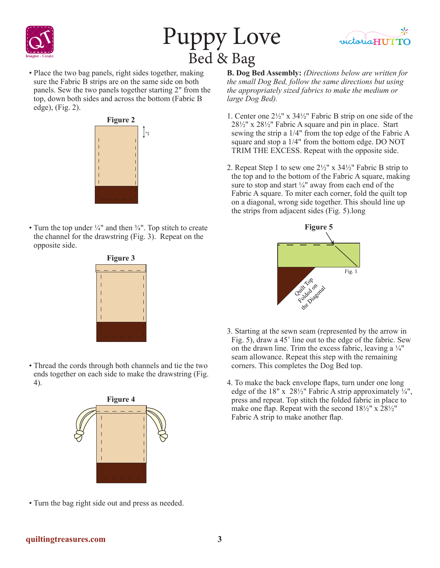

# Puppy Love Bed & Bag



• Place the two bag panels, right sides together, making sure the Fabric B strips are on the same side on both panels. Sew the two panels together starting 2" from the top, down both sides and across the bottom (Fabric B edge), (Fig. 2).



• Turn the top under  $\frac{1}{4}$ " and then  $\frac{3}{4}$ ". Top stitch to create the channel for the drawstring (Fig. 3). Repeat on the opposite side.



• Thread the cords through both channels and tie the two ends together on each side to make the drawstring (Fig. 4).



**B. Dog Bed Assembly:** *(Directions below are written for the small Dog Bed, follow the same directions but using the appropriately sized fabrics to make the medium or large Dog Bed).*

- 1. Center one 2½" x 34½" Fabric B strip on one side of the 28½" x 28½" Fabric A square and pin in place. Start sewing the strip a 1/4" from the top edge of the Fabric A square and stop a 1/4" from the bottom edge. DO NOT TRIM THE EXCESS. Repeat with the opposite side.
- 2. Repeat Step 1 to sew one  $2\frac{1}{2}$ " x  $34\frac{1}{2}$ " Fabric B strip to the top and to the bottom of the Fabric A square, making sure to stop and start ¼" away from each end of the Fabric A square. To miter each corner, fold the quilt top on a diagonal, wrong side together. This should line up the strips from adjacent sides (Fig. 5).long



- 3. Starting at the sewn seam (represented by the arrow in Fig. 5), draw a 45˚ line out to the edge of the fabric. Sew on the drawn line. Trim the excess fabric, leaving a  $\frac{1}{4}$ " seam allowance. Repeat this step with the remaining corners. This completes the Dog Bed top.
- 4. To make the back envelope flaps, turn under one long edge of the 18" x  $28\frac{1}{2}$ " Fabric A strip approximately  $\frac{1}{4}$ ", press and repeat. Top stitch the folded fabric in place to make one flap. Repeat with the second 18½" x 28½" Fabric A strip to make another flap.

• Turn the bag right side out and press as needed.